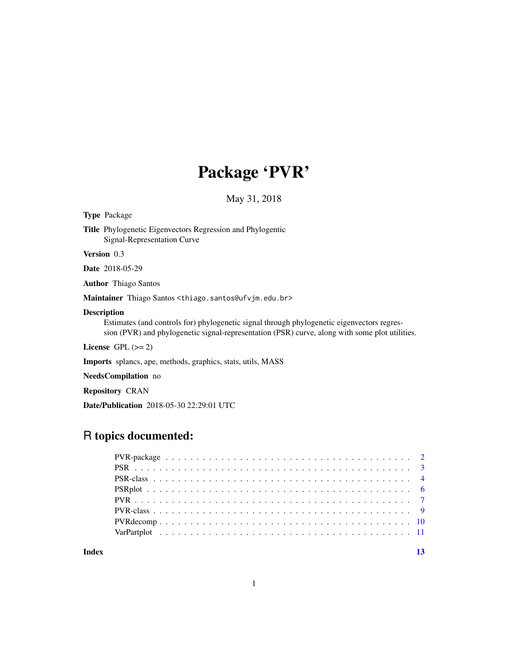## Package 'PVR'

May 31, 2018

Type Package

Title Phylogenetic Eigenvectors Regression and Phylogentic Signal-Representation Curve

Version 0.3

Date 2018-05-29

Author Thiago Santos

Maintainer Thiago Santos <thiago.santos@ufvjm.edu.br>

#### Description

Estimates (and controls for) phylogenetic signal through phylogenetic eigenvectors regression (PVR) and phylogenetic signal-representation (PSR) curve, along with some plot utilities.

License GPL  $(>= 2)$ 

Imports splancs, ape, methods, graphics, stats, utils, MASS

NeedsCompilation no

Repository CRAN

Date/Publication 2018-05-30 22:29:01 UTC

### R topics documented:

| Index |  |  |  |  |  |  |  |  |  |  |  |  |  |  |  |  |  |  |
|-------|--|--|--|--|--|--|--|--|--|--|--|--|--|--|--|--|--|--|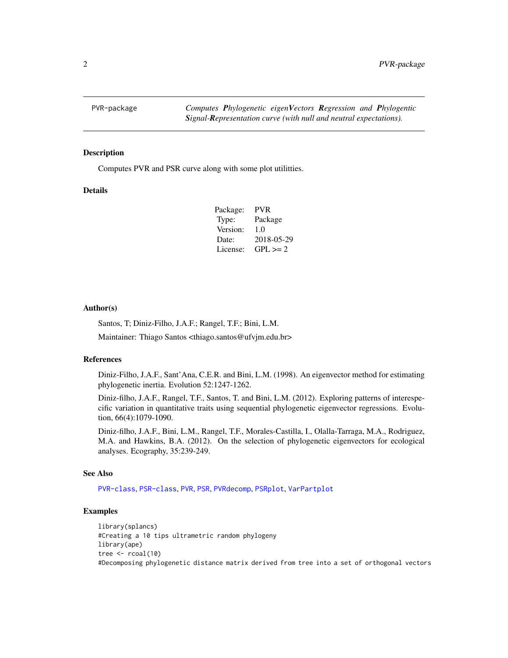<span id="page-1-0"></span>

#### Description

Computes PVR and PSR curve along with some plot utilitties.

#### Details

| <b>PVR</b>   |
|--------------|
| Package      |
| 1.0          |
| 2018-05-29   |
| $GPL \geq 2$ |
|              |

#### Author(s)

Santos, T; Diniz-Filho, J.A.F.; Rangel, T.F.; Bini, L.M.

Maintainer: Thiago Santos <thiago.santos@ufvjm.edu.br>

#### References

Diniz-Filho, J.A.F., Sant'Ana, C.E.R. and Bini, L.M. (1998). An eigenvector method for estimating phylogenetic inertia. Evolution 52:1247-1262.

Diniz-filho, J.A.F., Rangel, T.F., Santos, T. and Bini, L.M. (2012). Exploring patterns of interespecific variation in quantitative traits using sequential phylogenetic eigenvector regressions. Evolution, 66(4):1079-1090.

Diniz-filho, J.A.F., Bini, L.M., Rangel, T.F., Morales-Castilla, I., Olalla-Tarraga, M.A., Rodriguez, M.A. and Hawkins, B.A. (2012). On the selection of phylogenetic eigenvectors for ecological analyses. Ecography, 35:239-249.

#### See Also

[PVR-class](#page-8-1), [PSR-class](#page-3-1), [PVR](#page-6-1), [PSR](#page-2-1), [PVRdecomp](#page-9-1), [PSRplot](#page-5-1), [VarPartplot](#page-10-1)

```
library(splancs)
#Creating a 10 tips ultrametric random phylogeny
library(ape)
tree \le rcoal(10)
#Decomposing phylogenetic distance matrix derived from tree into a set of orthogonal vectors
```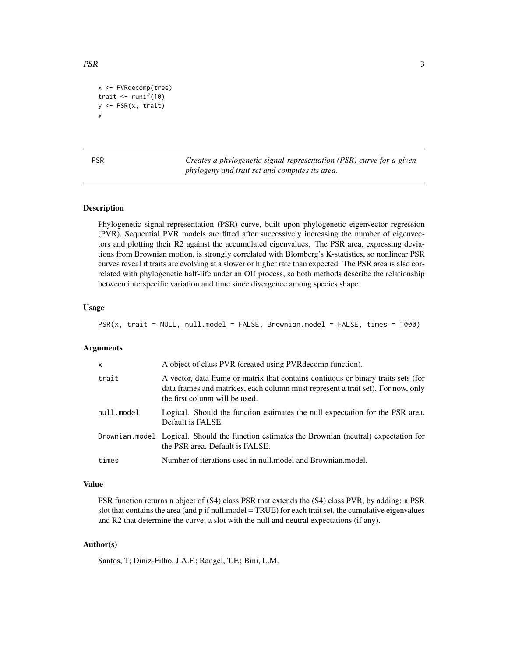```
x <- PVRdecomp(tree)
trait \le runif(10)
y <- PSR(x, trait)
y
```
<span id="page-2-1"></span>PSR *Creates a phylogenetic signal-representation (PSR) curve for a given phylogeny and trait set and computes its area.*

#### Description

Phylogenetic signal-representation (PSR) curve, built upon phylogenetic eigenvector regression (PVR). Sequential PVR models are fitted after successively increasing the number of eigenvectors and plotting their R2 against the accumulated eigenvalues. The PSR area, expressing deviations from Brownian motion, is strongly correlated with Blomberg's K-statistics, so nonlinear PSR curves reveal if traits are evolving at a slower or higher rate than expected. The PSR area is also correlated with phylogenetic half-life under an OU process, so both methods describe the relationship between interspecific variation and time since divergence among species shape.

#### Usage

PSR(x, trait = NULL, null.model = FALSE, Brownian.model = FALSE, times = 1000)

#### Arguments

| $\mathsf{x}$ | A object of class PVR (created using PVR decomp function).                                                                                                                                              |
|--------------|---------------------------------------------------------------------------------------------------------------------------------------------------------------------------------------------------------|
| trait        | A vector, data frame or matrix that contains contiuous or binary traits sets (for<br>data frames and matrices, each column must represent a trait set). For now, only<br>the first colunm will be used. |
| null.model   | Logical. Should the function estimates the null expectation for the PSR area.<br>Default is FALSE.                                                                                                      |
|              | Brownian model Logical. Should the function estimates the Brownian (neutral) expectation for<br>the PSR area. Default is FALSE.                                                                         |
| times        | Number of iterations used in null model and Brownian model.                                                                                                                                             |

#### Value

PSR function returns a object of (S4) class PSR that extends the (S4) class PVR, by adding: a PSR slot that contains the area (and p if null.model = TRUE) for each trait set, the cumulative eigenvalues and R2 that determine the curve; a slot with the null and neutral expectations (if any).

#### Author(s)

Santos, T; Diniz-Filho, J.A.F.; Rangel, T.F.; Bini, L.M.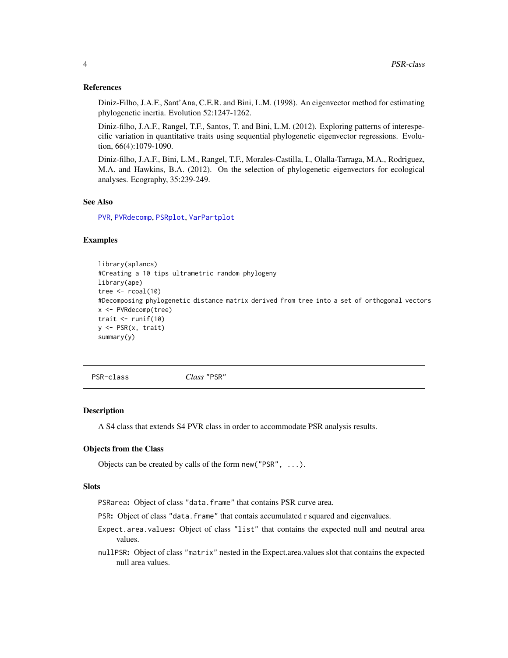#### References

Diniz-Filho, J.A.F., Sant'Ana, C.E.R. and Bini, L.M. (1998). An eigenvector method for estimating phylogenetic inertia. Evolution 52:1247-1262.

Diniz-filho, J.A.F., Rangel, T.F., Santos, T. and Bini, L.M. (2012). Exploring patterns of interespecific variation in quantitative traits using sequential phylogenetic eigenvector regressions. Evolution, 66(4):1079-1090.

Diniz-filho, J.A.F., Bini, L.M., Rangel, T.F., Morales-Castilla, I., Olalla-Tarraga, M.A., Rodriguez, M.A. and Hawkins, B.A. (2012). On the selection of phylogenetic eigenvectors for ecological analyses. Ecography, 35:239-249.

#### See Also

[PVR](#page-6-1), [PVRdecomp](#page-9-1), [PSRplot](#page-5-1), [VarPartplot](#page-10-1)

#### Examples

```
library(splancs)
#Creating a 10 tips ultrametric random phylogeny
library(ape)
tree \le rcoal(10)
#Decomposing phylogenetic distance matrix derived from tree into a set of orthogonal vectors
x <- PVRdecomp(tree)
trait \le runif(10)
y <- PSR(x, trait)
summary(y)
```
<span id="page-3-1"></span>PSR-class *Class* "PSR"

#### **Description**

A S4 class that extends S4 PVR class in order to accommodate PSR analysis results.

#### Objects from the Class

Objects can be created by calls of the form new("PSR", ...).

#### Slots

PSRarea: Object of class "data.frame" that contains PSR curve area.

PSR: Object of class "data.frame" that contais accumulated r squared and eigenvalues.

- Expect.area.values: Object of class "list" that contains the expected null and neutral area values.
- nullPSR: Object of class "matrix" nested in the Expect.area.values slot that contains the expected null area values.

<span id="page-3-0"></span>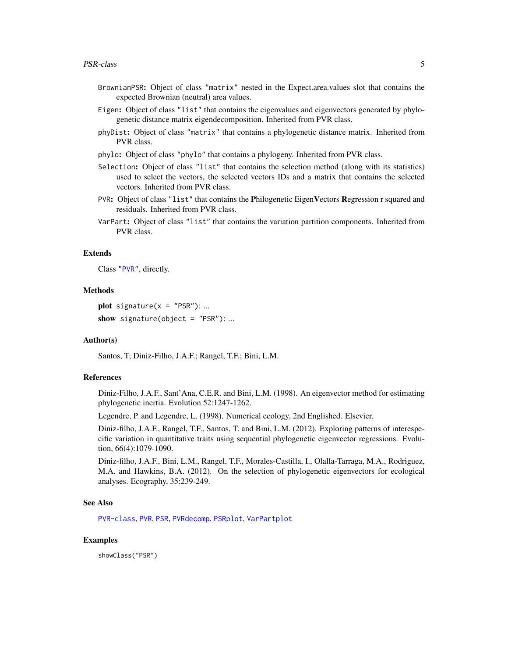- <span id="page-4-0"></span>BrownianPSR: Object of class "matrix" nested in the Expect.area.values slot that contains the expected Brownian (neutral) area values.
- Eigen: Object of class "list" that contains the eigenvalues and eigenvectors generated by phylogenetic distance matrix eigendecomposition. Inherited from PVR class.
- phyDist: Object of class "matrix" that contains a phylogenetic distance matrix. Inherited from PVR class.
- phylo: Object of class "phylo" that contains a phylogeny. Inherited from PVR class.
- Selection: Object of class "list" that contains the selection method (along with its statistics) used to select the vectors, the selected vectors IDs and a matrix that contains the selected vectors. Inherited from PVR class.
- PVR: Object of class "list" that contains the Philogenetic EigenVectors Regression r squared and residuals. Inherited from PVR class.
- VarPart: Object of class "list" that contains the variation partition components. Inherited from PVR class.

#### Extends

Class ["PVR"](#page-8-1), directly.

#### Methods

plot signature( $x = "PSR"$ ): ... show signature(object =  $"PSR"$ ): ...

#### Author(s)

Santos, T; Diniz-Filho, J.A.F.; Rangel, T.F.; Bini, L.M.

#### References

Diniz-Filho, J.A.F., Sant'Ana, C.E.R. and Bini, L.M. (1998). An eigenvector method for estimating phylogenetic inertia. Evolution 52:1247-1262.

Legendre, P. and Legendre, L. (1998). Numerical ecology, 2nd Englished. Elsevier.

Diniz-filho, J.A.F., Rangel, T.F., Santos, T. and Bini, L.M. (2012). Exploring patterns of interespecific variation in quantitative traits using sequential phylogenetic eigenvector regressions. Evolution, 66(4):1079-1090.

Diniz-filho, J.A.F., Bini, L.M., Rangel, T.F., Morales-Castilla, I., Olalla-Tarraga, M.A., Rodriguez, M.A. and Hawkins, B.A. (2012). On the selection of phylogenetic eigenvectors for ecological analyses. Ecography, 35:239-249.

#### See Also

[PVR-class](#page-8-1), [PVR](#page-6-1), [PSR](#page-2-1), [PVRdecomp](#page-9-1), [PSRplot](#page-5-1), [VarPartplot](#page-10-1)

#### Examples

showClass("PSR")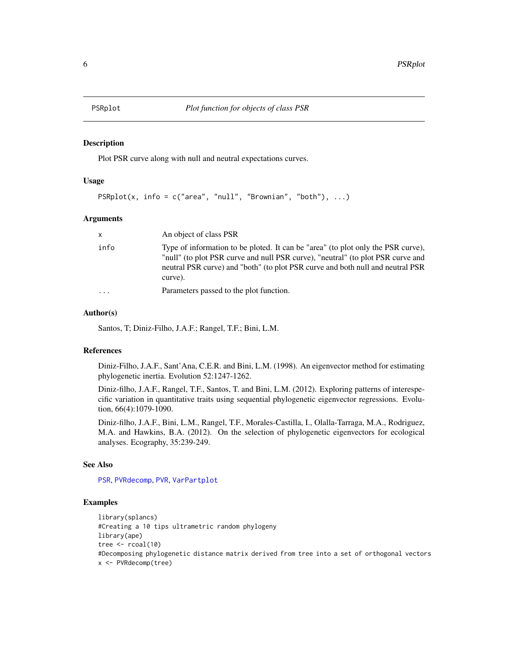<span id="page-5-1"></span><span id="page-5-0"></span>

#### Description

Plot PSR curve along with null and neutral expectations curves.

#### Usage

```
PSRplot(x, info = c("area", "null", "Brownian", "both"), ...)
```
#### Arguments

| $\mathsf{x}$ | An object of class PSR                                                                                                                                                                                                                                           |
|--------------|------------------------------------------------------------------------------------------------------------------------------------------------------------------------------------------------------------------------------------------------------------------|
| info         | Type of information to be ploted. It can be "area" (to plot only the PSR curve),<br>"null" (to plot PSR curve and null PSR curve), "neutral" (to plot PSR curve and<br>neutral PSR curve) and "both" (to plot PSR curve and both null and neutral PSR<br>curve). |
| .            | Parameters passed to the plot function.                                                                                                                                                                                                                          |

#### Author(s)

Santos, T; Diniz-Filho, J.A.F.; Rangel, T.F.; Bini, L.M.

#### References

Diniz-Filho, J.A.F., Sant'Ana, C.E.R. and Bini, L.M. (1998). An eigenvector method for estimating phylogenetic inertia. Evolution 52:1247-1262.

Diniz-filho, J.A.F., Rangel, T.F., Santos, T. and Bini, L.M. (2012). Exploring patterns of interespecific variation in quantitative traits using sequential phylogenetic eigenvector regressions. Evolution, 66(4):1079-1090.

Diniz-filho, J.A.F., Bini, L.M., Rangel, T.F., Morales-Castilla, I., Olalla-Tarraga, M.A., Rodriguez, M.A. and Hawkins, B.A. (2012). On the selection of phylogenetic eigenvectors for ecological analyses. Ecography, 35:239-249.

#### See Also

[PSR](#page-2-1), [PVRdecomp](#page-9-1), [PVR](#page-6-1), [VarPartplot](#page-10-1)

```
library(splancs)
#Creating a 10 tips ultrametric random phylogeny
library(ape)
tree \le r\text{coal}(10)#Decomposing phylogenetic distance matrix derived from tree into a set of orthogonal vectors
x <- PVRdecomp(tree)
```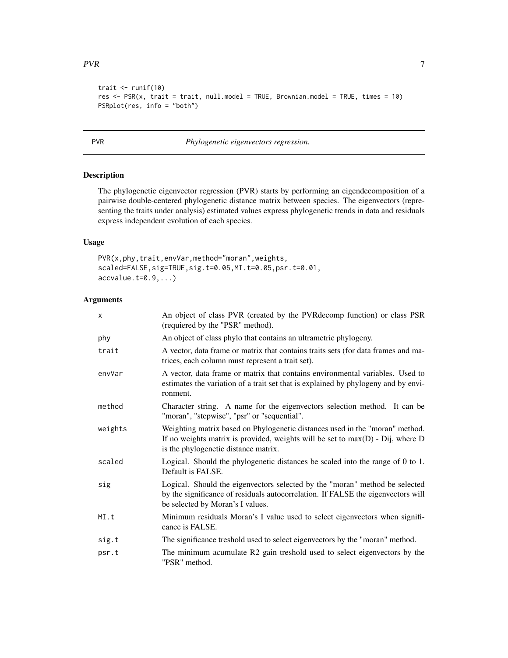```
trait \le runif(10)
res <- PSR(x, trait = trait, null.model = TRUE, Brownian.model = TRUE, times = 10)
PSRplot(res, info = "both")
```
<span id="page-6-1"></span>PVR *Phylogenetic eigenvectors regression.*

#### Description

The phylogenetic eigenvector regression (PVR) starts by performing an eigendecomposition of a pairwise double-centered phylogenetic distance matrix between species. The eigenvectors (representing the traits under analysis) estimated values express phylogenetic trends in data and residuals express independent evolution of each species.

#### Usage

```
PVR(x,phy,trait,envVar,method="moran",weights,
scaled=FALSE,sig=TRUE,sig.t=0.05,MI.t=0.05,psr.t=0.01,
accvalue.t=0.9,...)
```
#### Arguments

| x       | An object of class PVR (created by the PVR decomp function) or class PSR<br>(requiered by the "PSR" method).                                                                                             |
|---------|----------------------------------------------------------------------------------------------------------------------------------------------------------------------------------------------------------|
| phy     | An object of class phylo that contains an ultrametric phylogeny.                                                                                                                                         |
| trait   | A vector, data frame or matrix that contains traits sets (for data frames and ma-<br>trices, each column must represent a trait set).                                                                    |
| envVar  | A vector, data frame or matrix that contains environmental variables. Used to<br>estimates the variation of a trait set that is explained by phylogeny and by envi-<br>ronment.                          |
| method  | Character string. A name for the eigenvectors selection method. It can be<br>"moran", "stepwise", "psr" or "sequential".                                                                                 |
| weights | Weighting matrix based on Phylogenetic distances used in the "moran" method.<br>If no weights matrix is provided, weights will be set to $max(D)$ - Dij, where D<br>is the phylogenetic distance matrix. |
| scaled  | Logical. Should the phylogenetic distances be scaled into the range of 0 to 1.<br>Default is FALSE.                                                                                                      |
| sig     | Logical. Should the eigenvectors selected by the "moran" method be selected<br>by the significance of residuals autocorrelation. If FALSE the eigenvectors will<br>be selected by Moran's I values.      |
| MI.t    | Minimum residuals Moran's I value used to select eigenvectors when signifi-<br>cance is FALSE.                                                                                                           |
| sig.t   | The significance treshold used to select eigenvectors by the "moran" method.                                                                                                                             |
| psr.t   | The minimum acumulate R2 gain treshold used to select eigenvectors by the<br>"PSR" method.                                                                                                               |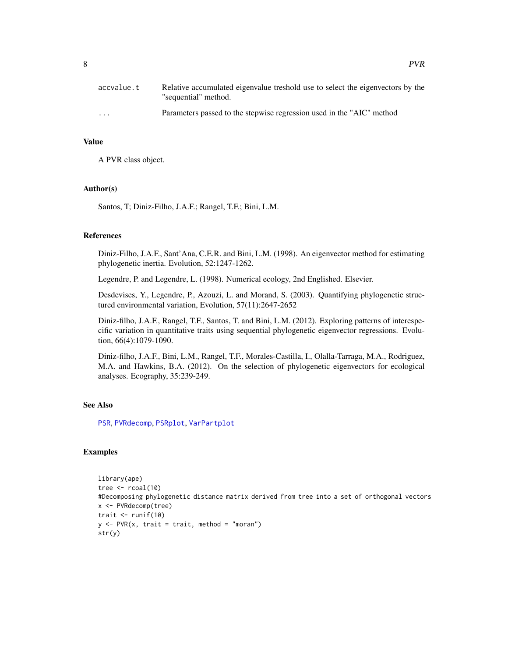<span id="page-7-0"></span>

| accvalue.t              | Relative accumulated eigenvalue treshold use to select the eigenvectors by the<br>"sequential" method. |
|-------------------------|--------------------------------------------------------------------------------------------------------|
| $\cdot$ $\cdot$ $\cdot$ | Parameters passed to the stepwise regression used in the "AIC" method                                  |

#### Value

A PVR class object.

#### Author(s)

Santos, T; Diniz-Filho, J.A.F.; Rangel, T.F.; Bini, L.M.

#### References

Diniz-Filho, J.A.F., Sant'Ana, C.E.R. and Bini, L.M. (1998). An eigenvector method for estimating phylogenetic inertia. Evolution, 52:1247-1262.

Legendre, P. and Legendre, L. (1998). Numerical ecology, 2nd Englished. Elsevier.

Desdevises, Y., Legendre, P., Azouzi, L. and Morand, S. (2003). Quantifying phylogenetic structured environmental variation, Evolution, 57(11):2647-2652

Diniz-filho, J.A.F., Rangel, T.F., Santos, T. and Bini, L.M. (2012). Exploring patterns of interespecific variation in quantitative traits using sequential phylogenetic eigenvector regressions. Evolution, 66(4):1079-1090.

Diniz-filho, J.A.F., Bini, L.M., Rangel, T.F., Morales-Castilla, I., Olalla-Tarraga, M.A., Rodriguez, M.A. and Hawkins, B.A. (2012). On the selection of phylogenetic eigenvectors for ecological analyses. Ecography, 35:239-249.

#### See Also

[PSR](#page-2-1), [PVRdecomp](#page-9-1), [PSRplot](#page-5-1), [VarPartplot](#page-10-1)

```
library(ape)
tree \le rcoal(10)
#Decomposing phylogenetic distance matrix derived from tree into a set of orthogonal vectors
x <- PVRdecomp(tree)
trait \le runif(10)
y \leq -PVR(x, \text{ trait} = \text{ trait}, \text{ method} = "moran")str(y)
```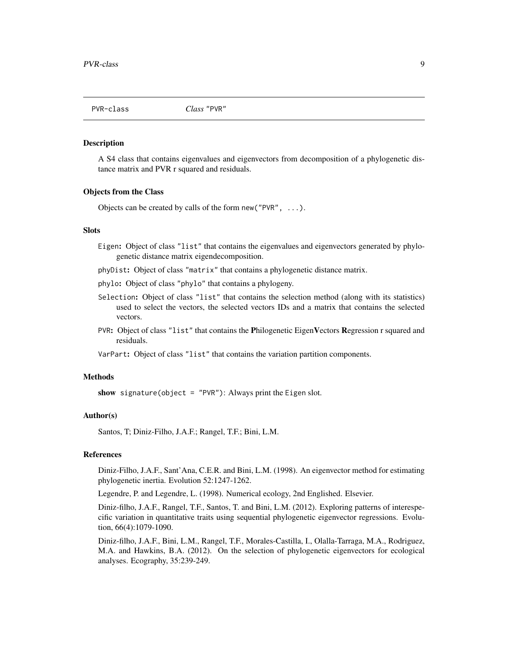<span id="page-8-1"></span><span id="page-8-0"></span>

#### Description

A S4 class that contains eigenvalues and eigenvectors from decomposition of a phylogenetic distance matrix and PVR r squared and residuals.

#### Objects from the Class

Objects can be created by calls of the form new("PVR", ...).

#### **Slots**

- Eigen: Object of class "list" that contains the eigenvalues and eigenvectors generated by phylogenetic distance matrix eigendecomposition.
- phyDist: Object of class "matrix" that contains a phylogenetic distance matrix.
- phylo: Object of class "phylo" that contains a phylogeny.
- Selection: Object of class "list" that contains the selection method (along with its statistics) used to select the vectors, the selected vectors IDs and a matrix that contains the selected vectors.
- PVR: Object of class "list" that contains the Philogenetic EigenVectors Regression r squared and residuals.

VarPart: Object of class "list" that contains the variation partition components.

#### Methods

show signature(object = "PVR"): Always print the Eigen slot.

#### Author(s)

Santos, T; Diniz-Filho, J.A.F.; Rangel, T.F.; Bini, L.M.

#### References

Diniz-Filho, J.A.F., Sant'Ana, C.E.R. and Bini, L.M. (1998). An eigenvector method for estimating phylogenetic inertia. Evolution 52:1247-1262.

Legendre, P. and Legendre, L. (1998). Numerical ecology, 2nd Englished. Elsevier.

Diniz-filho, J.A.F., Rangel, T.F., Santos, T. and Bini, L.M. (2012). Exploring patterns of interespecific variation in quantitative traits using sequential phylogenetic eigenvector regressions. Evolution, 66(4):1079-1090.

Diniz-filho, J.A.F., Bini, L.M., Rangel, T.F., Morales-Castilla, I., Olalla-Tarraga, M.A., Rodriguez, M.A. and Hawkins, B.A. (2012). On the selection of phylogenetic eigenvectors for ecological analyses. Ecography, 35:239-249.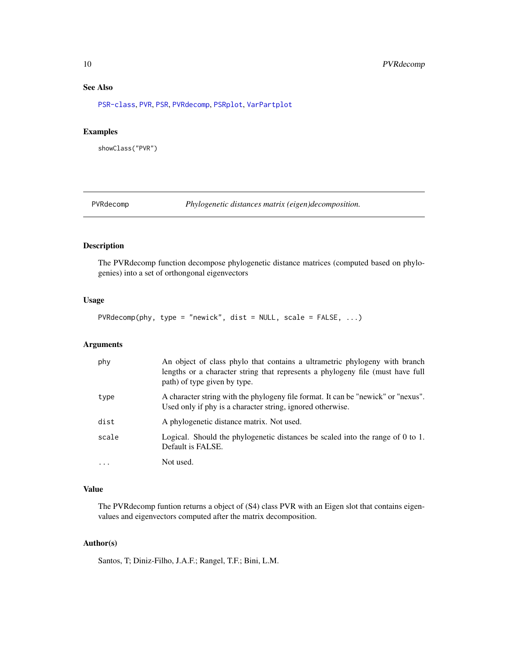#### See Also

[PSR-class](#page-3-1), [PVR](#page-6-1), [PSR](#page-2-1), [PVRdecomp](#page-9-1), [PSRplot](#page-5-1), [VarPartplot](#page-10-1)

#### Examples

```
showClass("PVR")
```
<span id="page-9-1"></span>PVRdecomp *Phylogenetic distances matrix (eigen)decomposition.*

#### Description

The PVRdecomp function decompose phylogenetic distance matrices (computed based on phylogenies) into a set of orthongonal eigenvectors

#### Usage

PVRdecomp(phy, type = "newick", dist = NULL, scale = FALSE, ...)

#### Arguments

| phy        | An object of class phylo that contains a ultrametric phylogeny with branch<br>lengths or a character string that represents a phylogeny file (must have full<br>path) of type given by type. |
|------------|----------------------------------------------------------------------------------------------------------------------------------------------------------------------------------------------|
| type       | A character string with the phylogeny file format. It can be "newick" or "nexus".<br>Used only if phy is a character string, ignored otherwise.                                              |
| dist       | A phylogenetic distance matrix. Not used.                                                                                                                                                    |
| scale      | Logical. Should the phylogenetic distances be scaled into the range of 0 to 1.<br>Default is FALSE.                                                                                          |
| $\ddots$ . | Not used.                                                                                                                                                                                    |

#### Value

The PVRdecomp funtion returns a object of (S4) class PVR with an Eigen slot that contains eigenvalues and eigenvectors computed after the matrix decomposition.

#### Author(s)

Santos, T; Diniz-Filho, J.A.F.; Rangel, T.F.; Bini, L.M.

<span id="page-9-0"></span>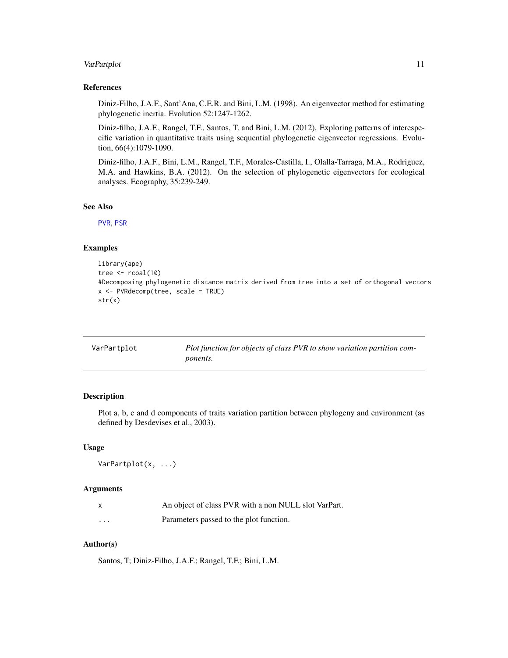#### <span id="page-10-0"></span>VarPartplot 11

#### References

Diniz-Filho, J.A.F., Sant'Ana, C.E.R. and Bini, L.M. (1998). An eigenvector method for estimating phylogenetic inertia. Evolution 52:1247-1262.

Diniz-filho, J.A.F., Rangel, T.F., Santos, T. and Bini, L.M. (2012). Exploring patterns of interespecific variation in quantitative traits using sequential phylogenetic eigenvector regressions. Evolution, 66(4):1079-1090.

Diniz-filho, J.A.F., Bini, L.M., Rangel, T.F., Morales-Castilla, I., Olalla-Tarraga, M.A., Rodriguez, M.A. and Hawkins, B.A. (2012). On the selection of phylogenetic eigenvectors for ecological analyses. Ecography, 35:239-249.

#### See Also

[PVR](#page-6-1), [PSR](#page-2-1)

#### Examples

```
library(ape)
tree \le rcoal(10)
#Decomposing phylogenetic distance matrix derived from tree into a set of orthogonal vectors
x <- PVRdecomp(tree, scale = TRUE)
str(x)
```
<span id="page-10-1"></span>

| VarPartplot | Plot function for objects of class PVR to show variation partition com- |
|-------------|-------------------------------------------------------------------------|
|             | <i>ponents.</i>                                                         |

#### Description

Plot a, b, c and d components of traits variation partition between phylogeny and environment (as defined by Desdevises et al., 2003).

#### Usage

```
VarPartplot(x, ...)
```
#### Arguments

|          | An object of class PVR with a non NULL slot VarPart. |
|----------|------------------------------------------------------|
| $\cdots$ | Parameters passed to the plot function.              |

#### Author(s)

Santos, T; Diniz-Filho, J.A.F.; Rangel, T.F.; Bini, L.M.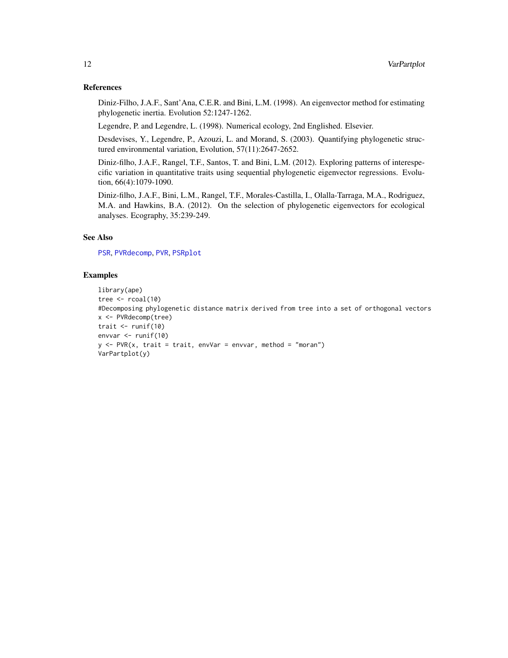#### <span id="page-11-0"></span>References

Diniz-Filho, J.A.F., Sant'Ana, C.E.R. and Bini, L.M. (1998). An eigenvector method for estimating phylogenetic inertia. Evolution 52:1247-1262.

Legendre, P. and Legendre, L. (1998). Numerical ecology, 2nd Englished. Elsevier.

Desdevises, Y., Legendre, P., Azouzi, L. and Morand, S. (2003). Quantifying phylogenetic structured environmental variation, Evolution, 57(11):2647-2652.

Diniz-filho, J.A.F., Rangel, T.F., Santos, T. and Bini, L.M. (2012). Exploring patterns of interespecific variation in quantitative traits using sequential phylogenetic eigenvector regressions. Evolution, 66(4):1079-1090.

Diniz-filho, J.A.F., Bini, L.M., Rangel, T.F., Morales-Castilla, I., Olalla-Tarraga, M.A., Rodriguez, M.A. and Hawkins, B.A. (2012). On the selection of phylogenetic eigenvectors for ecological analyses. Ecography, 35:239-249.

### See Also

[PSR](#page-2-1), [PVRdecomp](#page-9-1), [PVR](#page-6-1), [PSRplot](#page-5-1)

```
library(ape)
tree \le rcoal(10)
#Decomposing phylogenetic distance matrix derived from tree into a set of orthogonal vectors
x <- PVRdecomp(tree)
trait \le runif(10)
envvar <- runif(10)
y \leq -PVR(x, \text{ trait} = \text{ trait}, \text{envVar} = \text{envvar}, \text{ method} = "moran")VarPartplot(y)
```